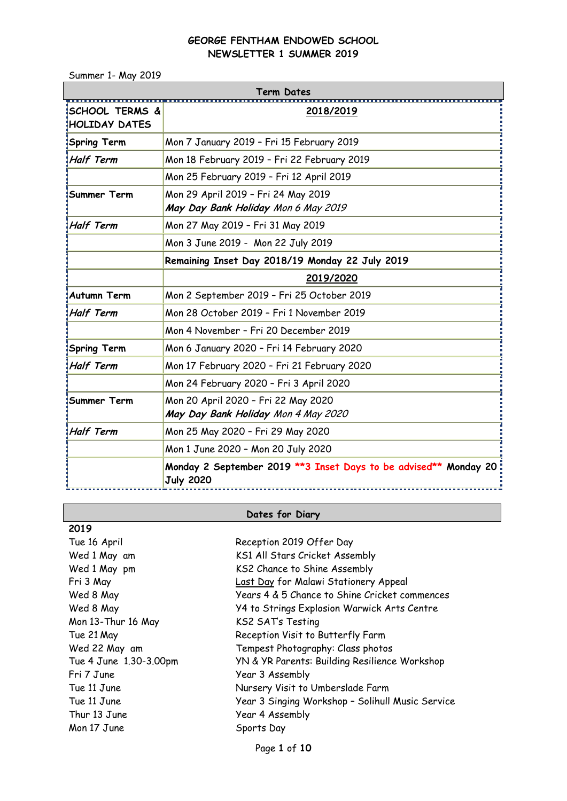Summer 1- May 2019

| Term Dates                                 |                                                                                       |  |  |  |
|--------------------------------------------|---------------------------------------------------------------------------------------|--|--|--|
| <b>SCHOOL TERMS &amp;</b><br>HOLIDAY DATES | 2018/2019                                                                             |  |  |  |
| <b>Spring Term</b>                         | Mon 7 January 2019 - Fri 15 February 2019                                             |  |  |  |
| <b>Half Term</b>                           | Mon 18 February 2019 - Fri 22 February 2019                                           |  |  |  |
|                                            | Mon 25 February 2019 - Fri 12 April 2019                                              |  |  |  |
| Summer Term                                | Mon 29 April 2019 - Fri 24 May 2019<br>May Day Bank Holiday Mon 6 May 2019            |  |  |  |
| <b>Half Term</b>                           | Mon 27 May 2019 - Fri 31 May 2019                                                     |  |  |  |
|                                            | Mon 3 June 2019 - Mon 22 July 2019                                                    |  |  |  |
|                                            | Remaining Inset Day 2018/19 Monday 22 July 2019                                       |  |  |  |
|                                            | 2019/2020                                                                             |  |  |  |
| <b>Autumn Term</b>                         | Mon 2 September 2019 - Fri 25 October 2019                                            |  |  |  |
| <b>Half Term</b>                           | Mon 28 October 2019 - Fri 1 November 2019                                             |  |  |  |
|                                            | Mon 4 November - Fri 20 December 2019                                                 |  |  |  |
| <b>Spring Term</b>                         | Mon 6 January 2020 - Fri 14 February 2020                                             |  |  |  |
| <b>Half Term</b>                           | Mon 17 February 2020 - Fri 21 February 2020                                           |  |  |  |
|                                            | Mon 24 February 2020 - Fri 3 April 2020                                               |  |  |  |
| Summer Term                                | Mon 20 April 2020 - Fri 22 May 2020<br>May Day Bank Holiday Mon 4 May 2020            |  |  |  |
| <b>Half Term</b>                           | Mon 25 May 2020 - Fri 29 May 2020                                                     |  |  |  |
|                                            | Mon 1 June 2020 - Mon 20 July 2020                                                    |  |  |  |
|                                            | Monday 2 September 2019 ** 3 Inset Days to be advised** Monday 20<br><b>July 2020</b> |  |  |  |

# **Dates for Diary**

| 2019                   |                                                  |
|------------------------|--------------------------------------------------|
| Tue 16 April           | Reception 2019 Offer Day                         |
| Wed 1 May am           | KS1 All Stars Cricket Assembly                   |
| Wed 1 May pm           | KS2 Chance to Shine Assembly                     |
| Fri 3 May              | Last Day for Malawi Stationery Appeal            |
| Wed 8 May              | Years 4 & 5 Chance to Shine Cricket commences    |
| Wed 8 May              | Y4 to Strings Explosion Warwick Arts Centre      |
| Mon 13-Thur 16 May     | <b>KS2 SATs Testing</b>                          |
| Tue 21 May             | Reception Visit to Butterfly Farm                |
| Wed 22 May am          | Tempest Photography: Class photos                |
| Tue 4 June 1.30-3.00pm | YN & YR Parents: Building Resilience Workshop    |
| Fri 7 June             | Year 3 Assembly                                  |
| Tue 11 June            | Nursery Visit to Umberslade Farm                 |
| Tue 11 June            | Year 3 Singing Workshop - Solihull Music Service |
| Thur 13 June           | Year 4 Assembly                                  |
| Mon 17 June            | Sports Day                                       |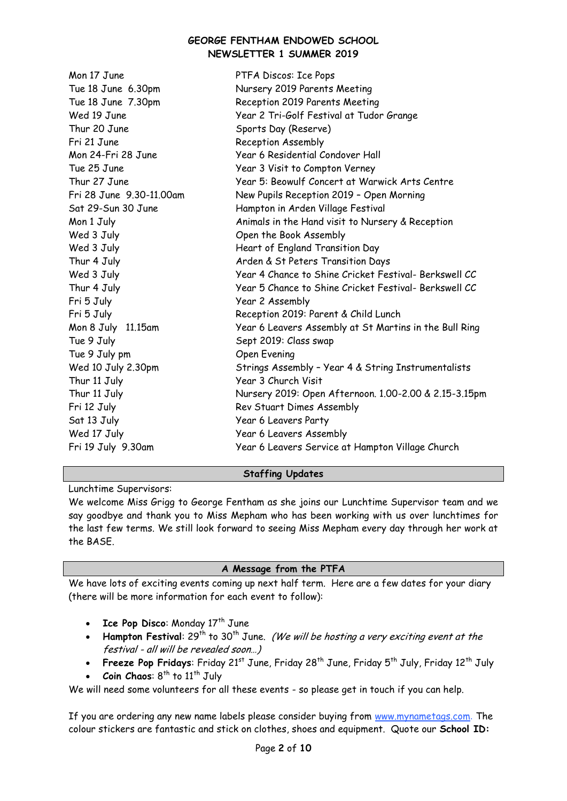| Mon 17 June              | PTFA Discos: Ice Pops                                  |
|--------------------------|--------------------------------------------------------|
| Tue 18 June 6.30pm       | Nursery 2019 Parents Meeting                           |
| Tue 18 June 7.30pm       | Reception 2019 Parents Meeting                         |
| Wed 19 June              | Year 2 Tri-Golf Festival at Tudor Grange               |
| Thur 20 June             | Sports Day (Reserve)                                   |
| Fri 21 June              | Reception Assembly                                     |
| Mon 24-Fri 28 June       | Year 6 Residential Condover Hall                       |
| Tue 25 June              | Year 3 Visit to Compton Verney                         |
| Thur 27 June             | Year 5: Beowulf Concert at Warwick Arts Centre         |
| Fri 28 June 9.30-11.00am | New Pupils Reception 2019 - Open Morning               |
| Sat 29-Sun 30 June       | Hampton in Arden Village Festival                      |
| Mon 1 July               | Animals in the Hand visit to Nursery & Reception       |
| Wed 3 July               | Open the Book Assembly                                 |
| Wed 3 July               | Heart of England Transition Day                        |
| Thur 4 July              | Arden & St Peters Transition Days                      |
| Wed 3 July               | Year 4 Chance to Shine Cricket Festival- Berkswell CC  |
| Thur 4 July              | Year 5 Chance to Shine Cricket Festival- Berkswell CC  |
| Fri 5 July               | Year 2 Assembly                                        |
| Fri 5 July               | Reception 2019: Parent & Child Lunch                   |
| Mon 8 July 11.15am       | Year 6 Leavers Assembly at St Martins in the Bull Ring |
| Tue 9 July               | Sept 2019: Class swap                                  |
| Tue 9 July pm            | Open Evening                                           |
| Wed 10 July 2.30pm       | Strings Assembly - Year 4 & String Instrumentalists    |
| Thur 11 July             | Year 3 Church Visit                                    |
| Thur 11 July             | Nursery 2019: Open Afternoon. 1.00-2.00 & 2.15-3.15pm  |
| Fri 12 July              | Rev Stuart Dimes Assembly                              |
| Sat 13 July              | Year 6 Leavers Party                                   |
| Wed 17 July              | Year 6 Leavers Assembly                                |
| Fri 19 July 9.30am       | Year 6 Leavers Service at Hampton Village Church       |

### **Staffing Updates**

Lunchtime Supervisors:

We welcome Miss Grigg to George Fentham as she joins our Lunchtime Supervisor team and we say goodbye and thank you to Miss Mepham who has been working with us over lunchtimes for the last few terms. We still look forward to seeing Miss Mepham every day through her work at the BASE.

# **A Message from the PTFA**

We have lots of exciting events coming up next half term. Here are a few dates for your diary (there will be more information for each event to follow):

- **Ice Pop Disco: Monday 17<sup>th</sup> June**
- Hampton Festival: 29<sup>th</sup> to 30<sup>th</sup> June. (We will be hosting a very exciting event at the festival - all will be revealed soon…)
- **•** Freeze Pop Fridays: Friday 21<sup>st</sup> June, Friday 28<sup>th</sup> June, Friday 5<sup>th</sup> July, Friday 12<sup>th</sup> July
- Coin Chaos: 8<sup>th</sup> to 11<sup>th</sup> July

We will need some volunteers for all these events - so please get in touch if you can help.

If you are ordering any new name labels please consider buying from [www.mynametags.com](http://www.mynametags.com/). The colour stickers are fantastic and stick on clothes, shoes and equipment. Quote our **School ID:**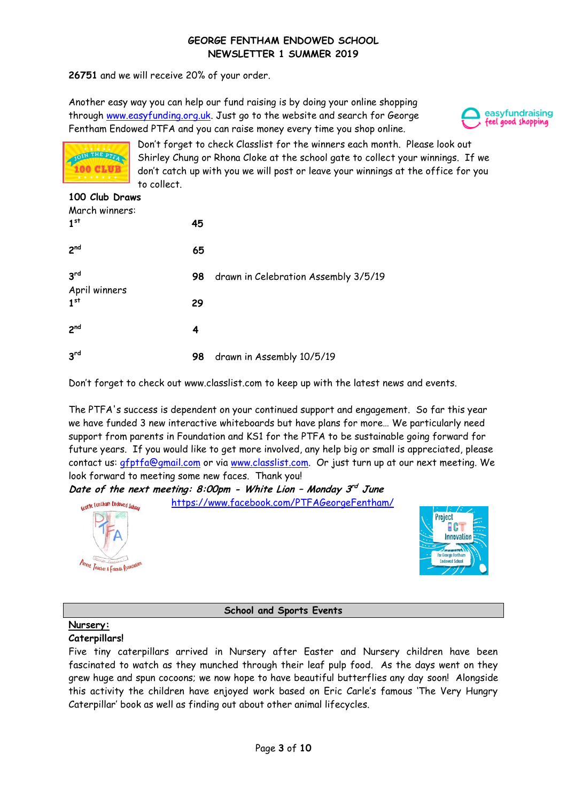**26751** and we will receive 20% of your order.

Another easy way you can help our fund raising is by doing your online shopping through [www.easyfunding.org.uk.](http://www.easyfunding.org.uk/) Just go to the website and search for George Fentham Endowed PTFA and you can raise money every time you shop online.





Don't forget to check Classlist for the winners each month. Please look out Shirley Chung or Rhona Cloke at the school gate to collect your winnings. If we don't catch up with you we will post or leave your winnings at the office for you to collect.

## **100 Club Draws** March winners: **1 st 145**

| 2 <sub>nd</sub>                  | 65 |                                      |
|----------------------------------|----|--------------------------------------|
| 3 <sup>rd</sup>                  | 98 | drawn in Celebration Assembly 3/5/19 |
| April winners<br>1 <sup>st</sup> | 29 |                                      |
| 2 <sup>nd</sup>                  | 4  |                                      |
| 3 <sup>rd</sup>                  | 98 | drawn in Assembly 10/5/19            |

Don't forget to check out www.classlist.com to keep up with the latest news and events.

The PTFA's success is dependent on your continued support and engagement. So far this year we have funded 3 new interactive whiteboards but have plans for more… We particularly need support from parents in Foundation and KS1 for the PTFA to be sustainable going forward for future years. If you would like to get more involved, any help big or small is appreciated, please contact us: **[gfptfa@gmail.com](mailto:gfptfa@gmail.com)** or via [www.classlist.com.](http://www.classlist.com/) Or just turn up at our next meeting. We look forward to meeting some new faces. Thank you!

**Date of the next meeting: 8:00pm - White Lion – Monday 3 rd June** 



# **School and Sports Events**

# **Nursery:**

# **Caterpillars!**

Five tiny caterpillars arrived in Nursery after Easter and Nursery children have been fascinated to watch as they munched through their leaf pulp food. As the days went on they grew huge and spun cocoons; we now hope to have beautiful butterflies any day soon! Alongside this activity the children have enjoyed work based on Eric Carle's famous 'The Very Hungry Caterpillar' book as well as finding out about other animal lifecycles.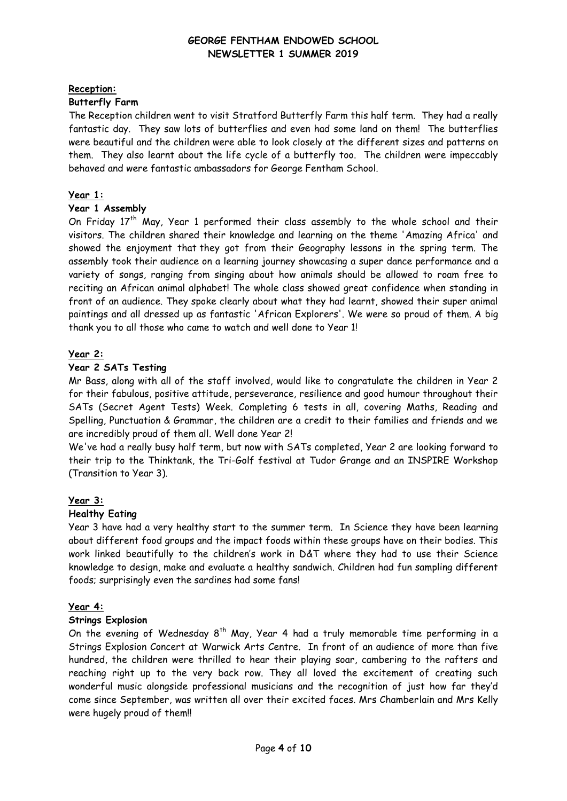### **Reception:**

### **Butterfly Farm**

The Reception children went to visit Stratford Butterfly Farm this half term. They had a really fantastic day. They saw lots of butterflies and even had some land on them! The butterflies were beautiful and the children were able to look closely at the different sizes and patterns on them. They also learnt about the life cycle of a butterfly too. The children were impeccably behaved and were fantastic ambassadors for George Fentham School.

## **Year 1:**

### **Year 1 Assembly**

On Friday 17<sup>th</sup> May, Year 1 performed their class assembly to the whole school and their visitors. The children shared their knowledge and learning on the theme 'Amazing Africa' and showed the enjoyment that they got from their Geography lessons in the spring term. The assembly took their audience on a learning journey showcasing a super dance performance and a variety of songs, ranging from singing about how animals should be allowed to roam free to reciting an African animal alphabet! The whole class showed great confidence when standing in front of an audience. They spoke clearly about what they had learnt, showed their super animal paintings and all dressed up as fantastic 'African Explorers'. We were so proud of them. A big thank you to all those who came to watch and well done to Year 1!

### **Year 2:**

### **Year 2 SATs Testing**

Mr Bass, along with all of the staff involved, would like to congratulate the children in Year 2 for their fabulous, positive attitude, perseverance, resilience and good humour throughout their SATs (Secret Agent Tests) Week. Completing 6 tests in all, covering Maths, Reading and Spelling, Punctuation & Grammar, the children are a credit to their families and friends and we are incredibly proud of them all. Well done Year 2!

We've had a really busy half term, but now with SATs completed, Year 2 are looking forward to their trip to the Thinktank, the Tri-Golf festival at Tudor Grange and an INSPIRE Workshop (Transition to Year 3).

### **Year 3:**

### **Healthy Eating**

Year 3 have had a very healthy start to the summer term. In Science they have been learning about different food groups and the impact foods within these groups have on their bodies. This work linked beautifully to the children's work in D&T where they had to use their Science knowledge to design, make and evaluate a healthy sandwich. Children had fun sampling different foods; surprisingly even the sardines had some fans!

### **Year 4:**

### **Strings Explosion**

On the evening of Wednesday  $8<sup>th</sup>$  May, Year 4 had a truly memorable time performing in a Strings Explosion Concert at Warwick Arts Centre. In front of an audience of more than five hundred, the children were thrilled to hear their playing soar, cambering to the rafters and reaching right up to the very back row. They all loved the excitement of creating such wonderful music alongside professional musicians and the recognition of just how far they'd come since September, was written all over their excited faces. Mrs Chamberlain and Mrs Kelly were hugely proud of them!!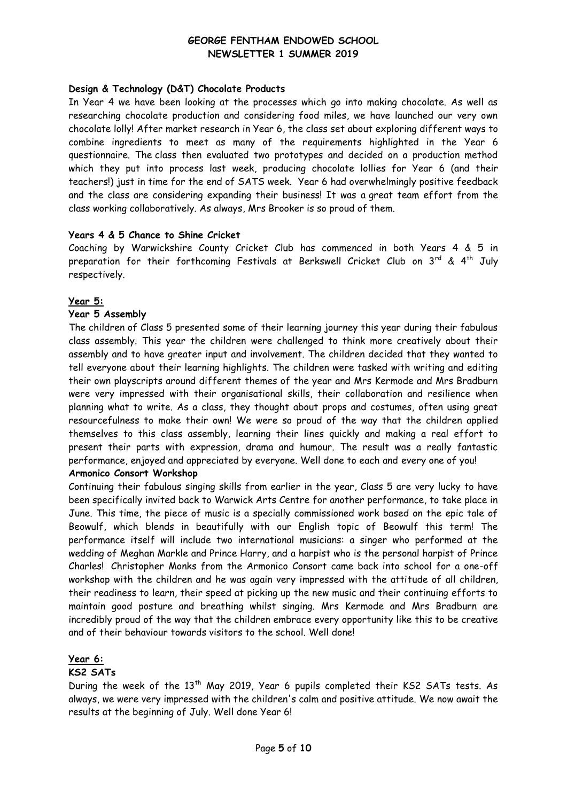# **Design & Technology (D&T) Chocolate Products**

In Year 4 we have been looking at the processes which go into making chocolate. As well as researching chocolate production and considering food miles, we have launched our very own chocolate lolly! After market research in Year 6, the class set about exploring different ways to combine ingredients to meet as many of the requirements highlighted in the Year 6 questionnaire. The class then evaluated two prototypes and decided on a production method which they put into process last week, producing chocolate lollies for Year 6 (and their teachers!) just in time for the end of SATS week. Year 6 had overwhelmingly positive feedback and the class are considering expanding their business! It was a great team effort from the class working collaboratively. As always, Mrs Brooker is so proud of them.

### **Years 4 & 5 Chance to Shine Cricket**

Coaching by Warwickshire County Cricket Club has commenced in both Years 4 & 5 in preparation for their forthcoming Festivals at Berkswell Cricket Club on  $3^{rd}$  &  $4^{th}$  July respectively.

### **Year 5:**

# **Year 5 Assembly**

The children of Class 5 presented some of their learning journey this year during their fabulous class assembly. This year the children were challenged to think more creatively about their assembly and to have greater input and involvement. The children decided that they wanted to tell everyone about their learning highlights. The children were tasked with writing and editing their own playscripts around different themes of the year and Mrs Kermode and Mrs Bradburn were very impressed with their organisational skills, their collaboration and resilience when planning what to write. As a class, they thought about props and costumes, often using great resourcefulness to make their own! We were so proud of the way that the children applied themselves to this class assembly, learning their lines quickly and making a real effort to present their parts with expression, drama and humour. The result was a really fantastic performance, enjoyed and appreciated by everyone. Well done to each and every one of you!

# **Armonico Consort Workshop**

Continuing their fabulous singing skills from earlier in the year, Class 5 are very lucky to have been specifically invited back to Warwick Arts Centre for another performance, to take place in June. This time, the piece of music is a specially commissioned work based on the epic tale of Beowulf, which blends in beautifully with our English topic of Beowulf this term! The performance itself will include two international musicians: a singer who performed at the wedding of Meghan Markle and Prince Harry, and a harpist who is the personal harpist of Prince Charles! Christopher Monks from the Armonico Consort came back into school for a one-off workshop with the children and he was again very impressed with the attitude of all children, their readiness to learn, their speed at picking up the new music and their continuing efforts to maintain good posture and breathing whilst singing. Mrs Kermode and Mrs Bradburn are incredibly proud of the way that the children embrace every opportunity like this to be creative and of their behaviour towards visitors to the school. Well done!

### **Year 6:**

### **KS2 SATs**

During the week of the 13<sup>th</sup> May 2019, Year 6 pupils completed their KS2 SATs tests. As always, we were very impressed with the children's calm and positive attitude. We now await the results at the beginning of July. Well done Year 6!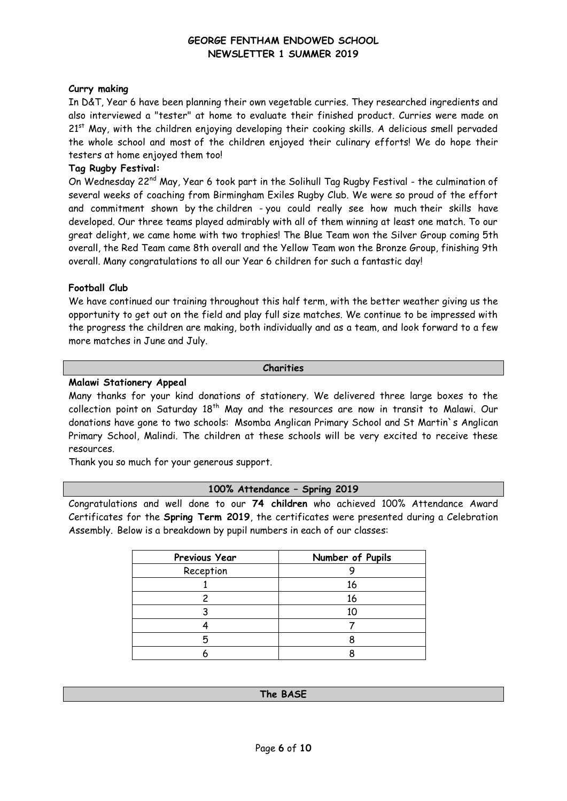### **Curry making**

In D&T, Year 6 have been planning their own vegetable curries. They researched ingredients and also interviewed a "tester" at home to evaluate their finished product. Curries were made on  $21<sup>st</sup>$  May, with the children enjoying developing their cooking skills. A delicious smell pervaded the whole school and most of the children enjoyed their culinary efforts! We do hope their testers at home enjoyed them too!

### **Tag Rugby Festival:**

On Wednesday 22<sup>nd</sup> May, Year 6 took part in the Solihull Tag Rugby Festival - the culmination of several weeks of coaching from Birmingham Exiles Rugby Club. We were so proud of the effort and commitment shown by the children - you could really see how much their skills have developed. Our three teams played admirably with all of them winning at least one match. To our great delight, we came home with two trophies! The Blue Team won the Silver Group coming 5th overall, the Red Team came 8th overall and the Yellow Team won the Bronze Group, finishing 9th overall. Many congratulations to all our Year 6 children for such a fantastic day!

### **Football Club**

We have continued our training throughout this half term, with the better weather giving us the opportunity to get out on the field and play full size matches. We continue to be impressed with the progress the children are making, both individually and as a team, and look forward to a few more matches in June and July.

### **Charities**

### **Malawi Stationery Appeal**

Many thanks for your kind donations of stationery. We delivered three large boxes to the collection point on Saturday 18<sup>th</sup> May and the resources are now in transit to Malawi. Our donations have gone to two schools: Msomba Anglican Primary School and St Martin`s Anglican Primary School, Malindi. The children at these schools will be very excited to receive these resources.

Thank you so much for your generous support.

### **100% Attendance – Spring 2019**

Congratulations and well done to our **74 children** who achieved 100% Attendance Award Certificates for the **Spring Term 2019**, the certificates were presented during a Celebration Assembly. Below is a breakdown by pupil numbers in each of our classes:

| Previous Year | Number of Pupils |
|---------------|------------------|
| Reception     |                  |
|               | 16               |
|               | 16               |
|               |                  |
|               |                  |
| Ⴌ             |                  |
|               |                  |

#### **The BASE**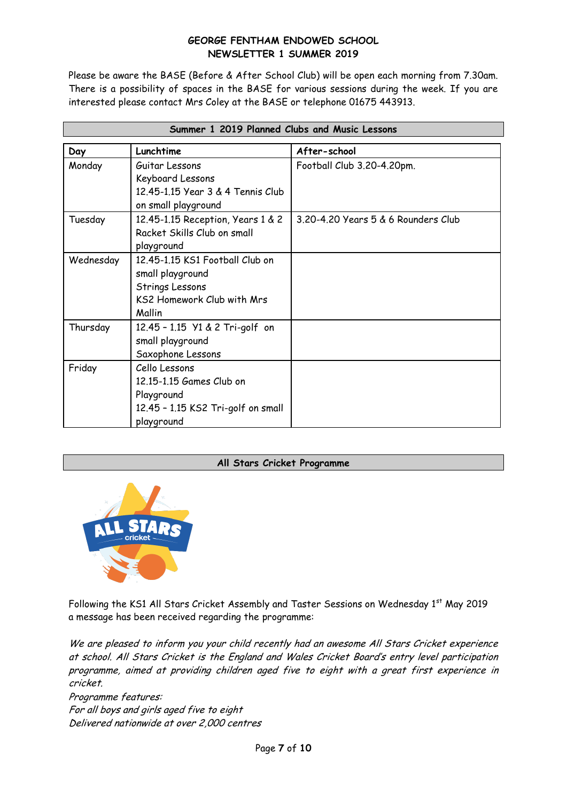Please be aware the BASE (Before & After School Club) will be open each morning from 7.30am. There is a possibility of spaces in the BASE for various sessions during the week. If you are interested please contact Mrs Coley at the BASE or telephone 01675 443913.

| Summer 1 2019 Planned Clubs and Music Lessons |                                                                                                                |                                     |  |  |
|-----------------------------------------------|----------------------------------------------------------------------------------------------------------------|-------------------------------------|--|--|
| Day                                           | Lunchtime                                                                                                      | After-school                        |  |  |
| Monday                                        | Guitar Lessons<br>Keyboard Lessons<br>12,45-1,15 Year 3 & 4 Tennis Club<br>on small playground                 | Football Club 3.20-4.20pm.          |  |  |
| Tuesday                                       | 12.45-1.15 Reception, Years 1 & 2<br>Racket Skills Club on small<br>playground                                 | 3.20-4.20 Years 5 & 6 Rounders Club |  |  |
| Wednesday                                     | 12.45-1.15 KS1 Football Club on<br>small playground<br>Strings Lessons<br>KS2 Homework Club with Mrs<br>Mallin |                                     |  |  |
| Thursday                                      | 12.45 - 1.15 Y1 & 2 Tri-golf on<br>small playground<br>Saxophone Lessons                                       |                                     |  |  |
| Friday                                        | Cello Lessons<br>12.15-1.15 Games Club on<br>Playground<br>12.45 - 1.15 KS2 Tri-golf on small<br>playground    |                                     |  |  |

### **All Stars Cricket Programme**



Following the KS1 All Stars Cricket Assembly and Taster Sessions on Wednesday 1st May 2019 a message has been received regarding the programme:

We are pleased to inform you your child recently had an awesome All Stars Cricket experience at school. All Stars Cricket is the England and Wales Cricket Board's entry level participation programme, aimed at providing children aged five to eight with a great first experience in cricket.

Programme features: For all boys and girls aged five to eight Delivered nationwide at over 2,000 centres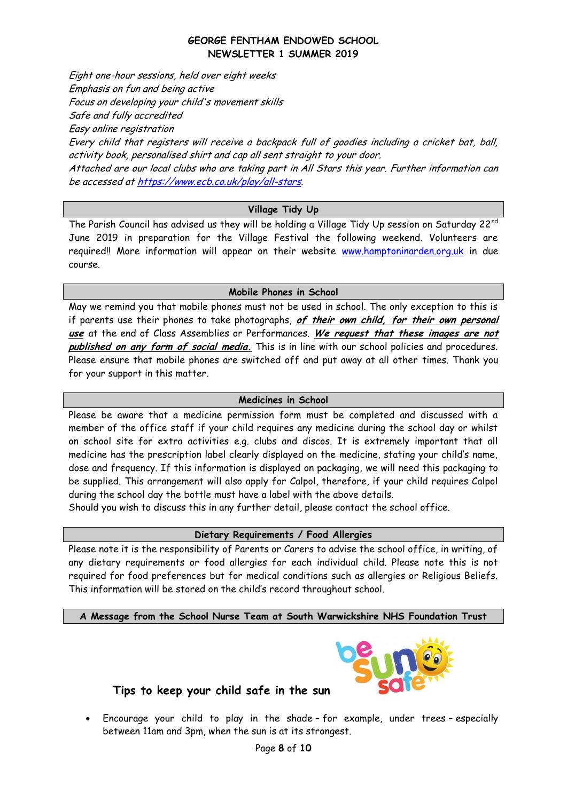Eight one-hour sessions, held over eight weeks Emphasis on fun and being active Focus on developing your child's movement skills Safe and fully accredited Easy online registration Every child that registers will receive a backpack full of goodies including a cricket bat, ball, activity book, personalised shirt and cap all sent straight to your door. Attached are our local clubs who are taking part in All Stars this year. Further information can be accessed a[t https://www.ecb.co.uk/play/all-stars](https://www.ecb.co.uk/play/all-stars).

# **Village Tidy Up**

The Parish Council has advised us they will be holding a Village Tidy Up session on Saturday 22<sup>nd</sup> June 2019 in preparation for the Village Festival the following weekend. Volunteers are required!! More information will appear on their website [www.hamptoninarden.org.uk](http://www.hamptoninarden.org.uk/) in due course.

### **Mobile Phones in School**

May we remind you that mobile phones must not be used in school. The only exception to this is if parents use their phones to take photographs, **of their own child, for their own personal use** at the end of Class Assemblies or Performances. **We request that these images are not published on any form of social media.** This is in line with our school policies and procedures. Please ensure that mobile phones are switched off and put away at all other times. Thank you for your support in this matter.

### **Medicines in School**

Please be aware that a medicine permission form must be completed and discussed with a member of the office staff if your child requires any medicine during the school day or whilst on school site for extra activities e.g. clubs and discos. It is extremely important that all medicine has the prescription label clearly displayed on the medicine, stating your child's name, dose and frequency. If this information is displayed on packaging, we will need this packaging to be supplied. This arrangement will also apply for Calpol, therefore, if your child requires Calpol during the school day the bottle must have a label with the above details.

Should you wish to discuss this in any further detail, please contact the school office.

### **Dietary Requirements / Food Allergies**

Please note it is the responsibility of Parents or Carers to advise the school office, in writing, of any dietary requirements or food allergies for each individual child. Please note this is not required for food preferences but for medical conditions such as allergies or Religious Beliefs. This information will be stored on the child's record throughout school.

**A Message from the School Nurse Team at South Warwickshire NHS Foundation Trust**



# **Tips to keep your child safe in the sun**

 Encourage your child to play in the shade – for example, under trees – especially between 11am and 3pm, when the sun is at its strongest.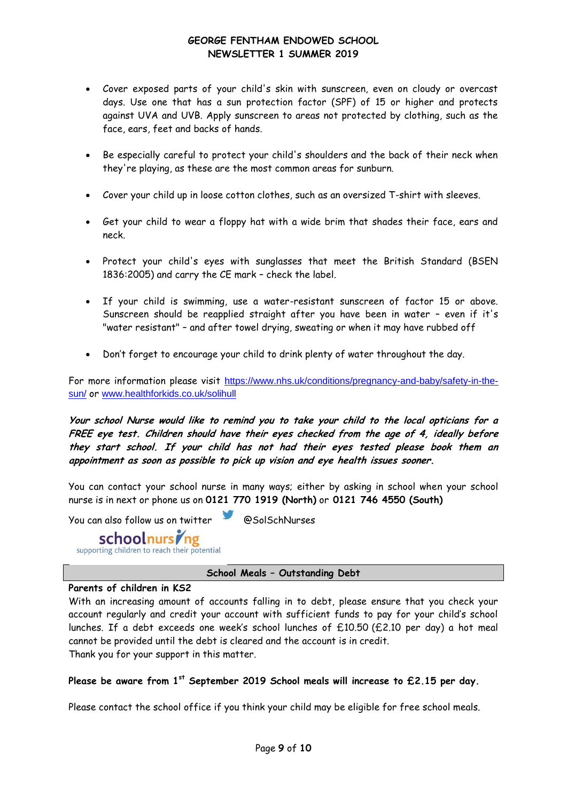- Cover exposed parts of your child's skin with sunscreen, even on cloudy or overcast days. Use one that has a sun protection factor (SPF) of 15 or higher and protects against UVA and UVB. Apply sunscreen to areas not protected by clothing, such as the face, ears, feet and backs of hands.
- Be especially careful to protect your child's shoulders and the back of their neck when they're playing, as these are the most common areas for sunburn.
- Cover your child up in loose cotton clothes, such as an oversized T-shirt with sleeves.
- Get your child to wear a floppy hat with a wide brim that shades their face, ears and neck.
- Protect your child's eyes with sunglasses that meet the British Standard (BSEN 1836:2005) and carry the CE mark – check the label.
- If your child is swimming, use a water-resistant sunscreen of factor 15 or above. Sunscreen should be reapplied straight after you have been in water – even if it's "water resistant" – and after towel drying, sweating or when it may have rubbed off
- Don't forget to encourage your child to drink plenty of water throughout the day.

For more information please visit [https://www.nhs.uk/conditions/pregnancy-and-baby/safety-in-the](https://www.nhs.uk/conditions/pregnancy-and-baby/safety-in-the-sun/)[sun/](https://www.nhs.uk/conditions/pregnancy-and-baby/safety-in-the-sun/) or [www.healthforkids.co.uk/solihull](http://www.healthforkids.co.uk/solihull)

**Your school Nurse would like to remind you to take your child to the local opticians for a FREE eye test. Children should have their eyes checked from the age of 4, ideally before they start school. If your child has not had their eyes tested please book them an appointment as soon as possible to pick up vision and eye health issues sooner.**

You can contact your school nurse in many ways; either by asking in school when your school nurse is in next or phone us on **0121 770 1919 (North)** or **0121 746 4550 (South)**

You can also follow us on twitter <br>
SolSchNurses



# **School Meals – Outstanding Debt**

### **Parents of children in KS2**

With an increasing amount of accounts falling in to debt, please ensure that you check your account regularly and credit your account with sufficient funds to pay for your child's school lunches. If a debt exceeds one week's school lunches of  $£10.50$   $(E2.10$  per day) a hot meal cannot be provided until the debt is cleared and the account is in credit. Thank you for your support in this matter.

**Please be aware from 1st September 2019 School meals will increase to £2.15 per day.**

Please contact the school office if you think your child may be eligible for free school meals.